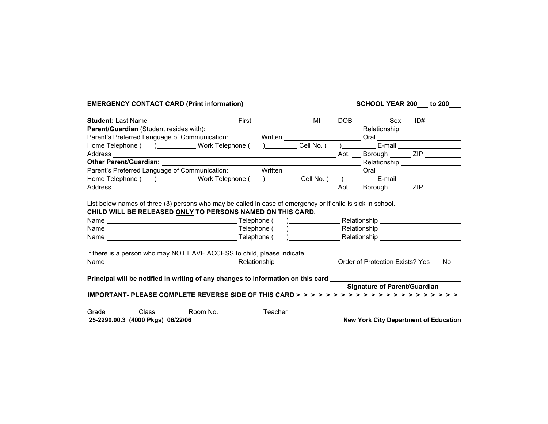## EMERGENCY CONTACT CARD (Print information) SCHOOL YEAR 200\_to 200\_

|                                   | Parent's Preferred Language of Communication: Written _________________________Oral __________________________                                                                                                                                                                                                                                              |  |  |  |  |                                       |  |
|-----------------------------------|-------------------------------------------------------------------------------------------------------------------------------------------------------------------------------------------------------------------------------------------------------------------------------------------------------------------------------------------------------------|--|--|--|--|---------------------------------------|--|
|                                   | Home Telephone () ____________Work Telephone () __________Cell No. () ___________ E-mail ____________________                                                                                                                                                                                                                                               |  |  |  |  |                                       |  |
|                                   |                                                                                                                                                                                                                                                                                                                                                             |  |  |  |  |                                       |  |
|                                   |                                                                                                                                                                                                                                                                                                                                                             |  |  |  |  |                                       |  |
|                                   | Parent's Preferred Language of Communication: Written _________________________Oral __________________________                                                                                                                                                                                                                                              |  |  |  |  |                                       |  |
|                                   | Home Telephone () ____________ Work Telephone () __________ Cell No. () _________ E-mail ____________________                                                                                                                                                                                                                                               |  |  |  |  |                                       |  |
|                                   |                                                                                                                                                                                                                                                                                                                                                             |  |  |  |  |                                       |  |
|                                   | List below names of three (3) persons who may be called in case of emergency or if child is sick in school.<br>CHILD WILL BE RELEASED ONLY TO PERSONS NAMED ON THIS CARD.<br>If there is a person who may NOT HAVE ACCESS to child, please indicate:<br>Principal will be notified in writing of any changes to information on this card __________________ |  |  |  |  |                                       |  |
|                                   |                                                                                                                                                                                                                                                                                                                                                             |  |  |  |  | <b>Signature of Parent/Guardian</b>   |  |
|                                   |                                                                                                                                                                                                                                                                                                                                                             |  |  |  |  |                                       |  |
|                                   |                                                                                                                                                                                                                                                                                                                                                             |  |  |  |  |                                       |  |
| 25-2290.00.3 (4000 Pkgs) 06/22/06 |                                                                                                                                                                                                                                                                                                                                                             |  |  |  |  | New York City Department of Education |  |